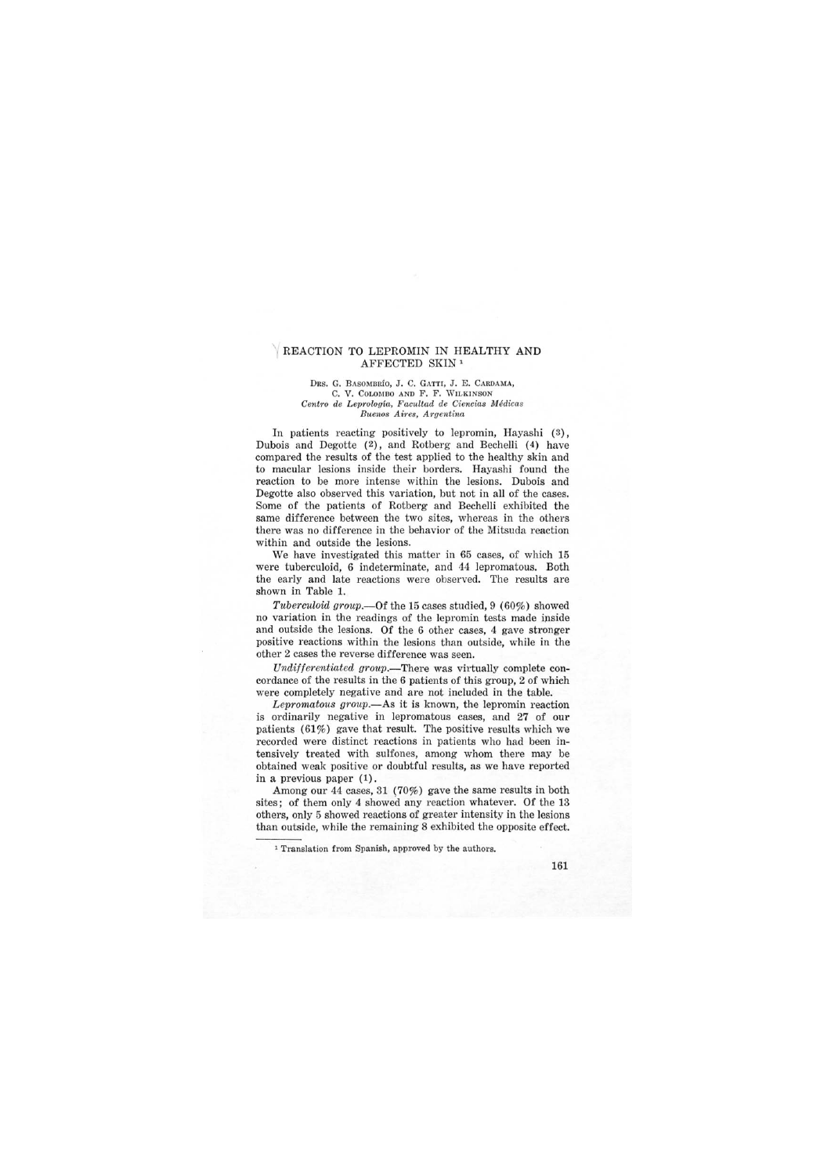## REACTION TO LEPROMIN IN HEALTHY AND AFFECTED SKIN 1

DRS. G. BASOMBRÍO, J. C. GATTI, J. E. CARDAMA, C. V. COLOMBO AND F. F. WILKINSON *Centro de Lep?'ologia, Facultad de Ciencias Medicas Buenos Aires, Argentina* 

In patients reacting positively to lepromin, Hayashi (3), Dubois and Degotte (2), and Rotberg and Bechelli (4) have compared the results of the test applied to the healthy skin and to macular lesions inside their borders. Hayashi found the reaction to be more intense within the lesions. Dubois and Degotte also observed this variation, but not in all of the cases. Some of the patients of Rotberg and Bechelli exhibited the same difference between the two sites, whereas in the others there was no difference in the behavior of the Mitsuda reaction within and outside the lesions.

We have investigated this matter in 65 cases, of which 15 were tuberculoid, 6 indeterminate, and 44 lepromatous. Both the early and late reactions were observed. The results are shown in Table 1.

Tuberculoid group.—Of the 15 cases studied,  $9(60\%)$  showed no variation in the readings of the lepromin tests made inside and outside the lesions. Of the 6 other cases, 4 gave stronger positive reactions within the lesions than outside, while in the other 2 cases the reverse difference was seen.

Undifferentiated group.—There was virtually complete concordance of the results in the 6 patients of this group, 2 of which were completely negative and are not included in the table.

Lepromatous group.—As it is known, the lepromin reaction is ordinarily negative in lepromatous cases, and 27 of our patients  $(61\%)$  gave that result. The positive results which we recorded were distinct reactions in patients who had been intensively treated with sulfones, among whom there may be obtained weak positive or doubtful results, as we have reported in a previous paper (1).

Among our 44 cases, 31 (70%) gave the same results in both sites; of them only 4 showed any reaction whatever. Of the 13 others, only 5 showed reactions of greater intensity in the lesions than outside, while the remaining 8 exhibited the opposite effect.

<sup>1</sup> Translation from Spanish, approved by the authors.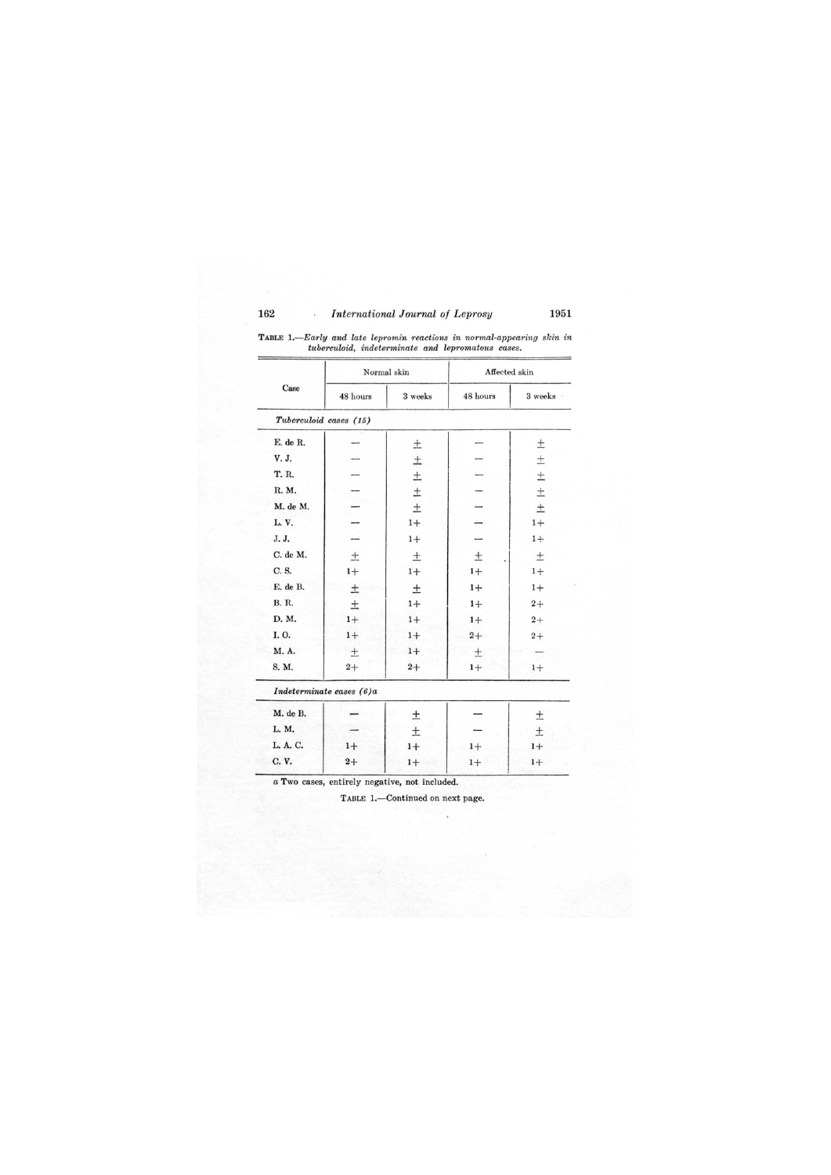| Case                   | Normal skin              |         | Affected skin |           |
|------------------------|--------------------------|---------|---------------|-----------|
|                        | 48 hours                 | 3 weeks | 48 hours      | 3 weeks - |
| Tuberculoid cases (15) |                          |         |               |           |
| E. de R.               |                          | 土       |               | $\pm$     |
| V. J.                  |                          | $\pm$   |               | $\pm$     |
| T. R.                  |                          | $\pm$   |               | $\pm$     |
| R. M.                  |                          | $\pm$   |               | $\pm$     |
| M. de M.               |                          | $\pm$   |               | $\pm$     |
| L.V.                   |                          | $1+$    |               | $1+$      |
| J. J.                  |                          | $1+$    |               | $1+$      |
| C. de M.               | $\pm$                    | 土       | $_{\pm}$      | 土         |
| C. S.                  | $1+$                     | $1+$    | $1+$          | $1+$      |
| E. de B.               | $\pm$                    | 土       | $1+$          | $1+$      |
| <b>B. R.</b>           | $\pm$                    | $1+$    | $1+$          | $2+$      |
| D. M.                  | $1+$                     | $1+$    | $1+$          | $2+$      |
| I.O.                   | $1+$                     | $1+$    | $2+$          | $2+$      |
| M. A.                  | 土                        | $1+$    | 土             |           |
| S. M.                  | $2+$                     | $2+$    | $1+$          | $1+$      |
|                        | Indeterminate cases (6)a |         |               |           |
| M. de B.               |                          | 土       |               | 土         |
| L. M.                  |                          | $\pm$   |               | 土         |

TABLE *1.-Early and late lepromin reactions in normal-appearing skin in tuberculoid, indeterminate and lepromatous cases.* 

*a* Two cases, entirely negative, not included.

TABLE 1.-Continued on next page.

L.A.C.  $1+$  1+ 1+ 1+ 1+ C. V.  $2+$  1+ 1+ 1+ 1+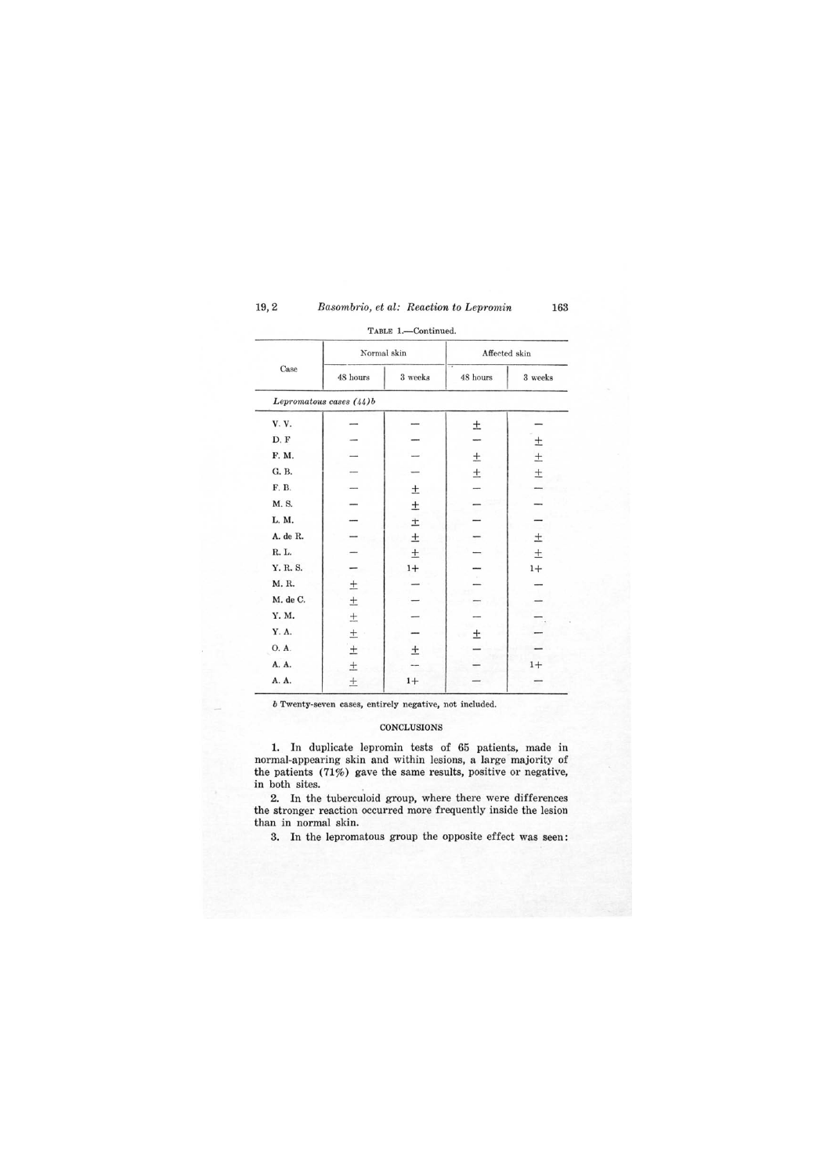| Case     | Normal skin             |         | Affected skin |         |
|----------|-------------------------|---------|---------------|---------|
|          | 48 hours                | 3 weeks | 48 hours      | 3 weeks |
|          | Lepromatous cases (44)b |         |               |         |
| V. V.    |                         |         | $\pm$         |         |
| D.F      |                         |         |               | 土       |
| F. M.    |                         |         | $\pm$         | $\pm$   |
| G. B.    |                         |         | $\pm$         | $\pm$   |
| F. B.    |                         | $\pm$   |               |         |
| M. S.    |                         | $\pm$   |               |         |
| L. M.    |                         | $\pm$   |               |         |
| A. de R. |                         | 土       |               | 土       |
| R. L.    |                         | 土       |               | 土       |
| Y. R. S. |                         | $1+$    |               | $1+$    |
| M. R.    | $\pm$                   |         | $\sim$        |         |
| M. de C. | $\pm$                   |         |               |         |
| Y. M.    | $\pm$                   |         |               |         |
| Y. A.    | $\pm$                   |         | $\pm$         |         |
| O. A.    | $\pm$                   | 土       |               |         |
| A. A.    | $\pm$                   |         |               | $1+$    |
| A. A.    | $\pm$                   | $1+$    |               |         |

TABLE 1.-Continued.

*b* Twenty-seven cases, entirely negative, not included.

## CONCLUSIONS

1. In duplicate lepromin tests of 65 patients, made in normal-appearing skin and within lesions, a large majority of the patients (71%) gave the same results, positive or negative, in both sites.

2. In the tuberculoid group, where there were differences the stronger reaction occurred more frequently inside the lesion than in normal skin.

3. In the lepromatous group the opposite effect was seen: